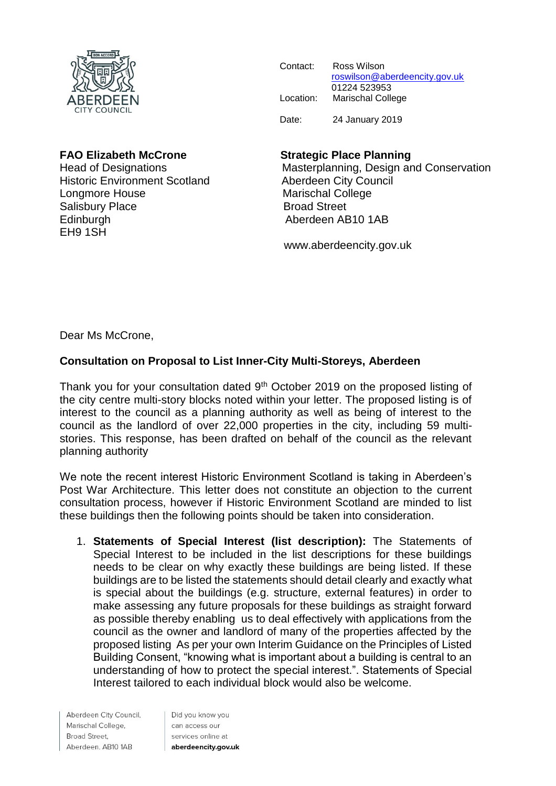

| Contact:  | Ross Wilson                   |
|-----------|-------------------------------|
|           | roswilson@aberdeencity.gov.uk |
|           | 01224 523953                  |
| Location: | <b>Marischal College</b>      |
|           |                               |
| Date:     | 24 January 2019               |

Historic Environment Scotland **Aberdeen City Council** Longmore House **Marischal College** Salisbury Place Broad Street Edinburgh **Aberdeen AB10 1AB** EH9 1SH

## **FAO Elizabeth McCrone Strategic Place Planning**

Head of Designations Masterplanning, Design and Conservation

www.aberdeencity.gov.uk

Dear Ms McCrone,

## **Consultation on Proposal to List Inner-City Multi-Storeys, Aberdeen**

Thank you for your consultation dated 9<sup>th</sup> October 2019 on the proposed listing of the city centre multi-story blocks noted within your letter. The proposed listing is of interest to the council as a planning authority as well as being of interest to the council as the landlord of over 22,000 properties in the city, including 59 multistories. This response, has been drafted on behalf of the council as the relevant planning authority

We note the recent interest Historic Environment Scotland is taking in Aberdeen's Post War Architecture. This letter does not constitute an objection to the current consultation process, however if Historic Environment Scotland are minded to list these buildings then the following points should be taken into consideration.

1. **Statements of Special Interest (list description):** The Statements of Special Interest to be included in the list descriptions for these buildings needs to be clear on why exactly these buildings are being listed. If these buildings are to be listed the statements should detail clearly and exactly what is special about the buildings (e.g. structure, external features) in order to make assessing any future proposals for these buildings as straight forward as possible thereby enabling us to deal effectively with applications from the council as the owner and landlord of many of the properties affected by the proposed listing As per your own Interim Guidance on the Principles of Listed Building Consent, "knowing what is important about a building is central to an understanding of how to protect the special interest.". Statements of Special Interest tailored to each individual block would also be welcome.

Aberdeen City Council, Marischal College, Broad Street, Aberdeen. AB10 1AB

Did you know you can access our services online at aberdeencity.gov.uk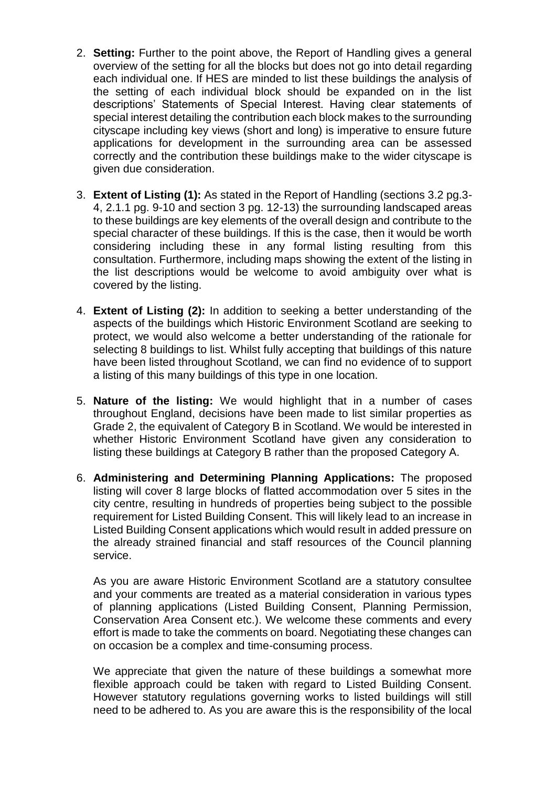- 2. **Setting:** Further to the point above, the Report of Handling gives a general overview of the setting for all the blocks but does not go into detail regarding each individual one. If HES are minded to list these buildings the analysis of the setting of each individual block should be expanded on in the list descriptions' Statements of Special Interest. Having clear statements of special interest detailing the contribution each block makes to the surrounding cityscape including key views (short and long) is imperative to ensure future applications for development in the surrounding area can be assessed correctly and the contribution these buildings make to the wider cityscape is given due consideration.
- 3. **Extent of Listing (1):** As stated in the Report of Handling (sections 3.2 pg.3- 4, 2.1.1 pg. 9-10 and section 3 pg. 12-13) the surrounding landscaped areas to these buildings are key elements of the overall design and contribute to the special character of these buildings. If this is the case, then it would be worth considering including these in any formal listing resulting from this consultation. Furthermore, including maps showing the extent of the listing in the list descriptions would be welcome to avoid ambiguity over what is covered by the listing.
- 4. **Extent of Listing (2):** In addition to seeking a better understanding of the aspects of the buildings which Historic Environment Scotland are seeking to protect, we would also welcome a better understanding of the rationale for selecting 8 buildings to list. Whilst fully accepting that buildings of this nature have been listed throughout Scotland, we can find no evidence of to support a listing of this many buildings of this type in one location.
- 5. **Nature of the listing:** We would highlight that in a number of cases throughout England, decisions have been made to list similar properties as Grade 2, the equivalent of Category B in Scotland. We would be interested in whether Historic Environment Scotland have given any consideration to listing these buildings at Category B rather than the proposed Category A.
- 6. **Administering and Determining Planning Applications:** The proposed listing will cover 8 large blocks of flatted accommodation over 5 sites in the city centre, resulting in hundreds of properties being subject to the possible requirement for Listed Building Consent. This will likely lead to an increase in Listed Building Consent applications which would result in added pressure on the already strained financial and staff resources of the Council planning service.

As you are aware Historic Environment Scotland are a statutory consultee and your comments are treated as a material consideration in various types of planning applications (Listed Building Consent, Planning Permission, Conservation Area Consent etc.). We welcome these comments and every effort is made to take the comments on board. Negotiating these changes can on occasion be a complex and time-consuming process.

We appreciate that given the nature of these buildings a somewhat more flexible approach could be taken with regard to Listed Building Consent. However statutory regulations governing works to listed buildings will still need to be adhered to. As you are aware this is the responsibility of the local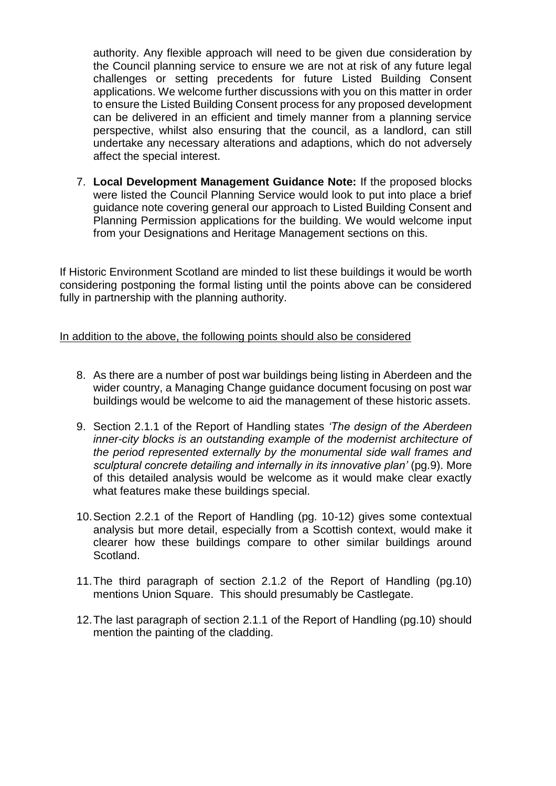authority. Any flexible approach will need to be given due consideration by the Council planning service to ensure we are not at risk of any future legal challenges or setting precedents for future Listed Building Consent applications. We welcome further discussions with you on this matter in order to ensure the Listed Building Consent process for any proposed development can be delivered in an efficient and timely manner from a planning service perspective, whilst also ensuring that the council, as a landlord, can still undertake any necessary alterations and adaptions, which do not adversely affect the special interest.

7. **Local Development Management Guidance Note:** If the proposed blocks were listed the Council Planning Service would look to put into place a brief guidance note covering general our approach to Listed Building Consent and Planning Permission applications for the building. We would welcome input from your Designations and Heritage Management sections on this.

If Historic Environment Scotland are minded to list these buildings it would be worth considering postponing the formal listing until the points above can be considered fully in partnership with the planning authority.

## In addition to the above, the following points should also be considered

- 8. As there are a number of post war buildings being listing in Aberdeen and the wider country, a Managing Change guidance document focusing on post war buildings would be welcome to aid the management of these historic assets.
- 9. Section 2.1.1 of the Report of Handling states *'The design of the Aberdeen inner-city blocks is an outstanding example of the modernist architecture of the period represented externally by the monumental side wall frames and sculptural concrete detailing and internally in its innovative plan'* (pg.9). More of this detailed analysis would be welcome as it would make clear exactly what features make these buildings special.
- 10.Section 2.2.1 of the Report of Handling (pg. 10-12) gives some contextual analysis but more detail, especially from a Scottish context, would make it clearer how these buildings compare to other similar buildings around Scotland.
- 11.The third paragraph of section 2.1.2 of the Report of Handling (pg.10) mentions Union Square. This should presumably be Castlegate.
- 12.The last paragraph of section 2.1.1 of the Report of Handling (pg.10) should mention the painting of the cladding.